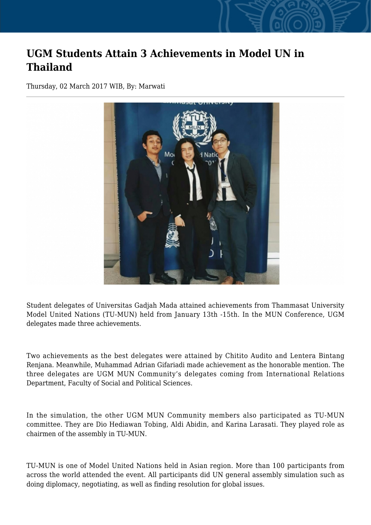## **UGM Students Attain 3 Achievements in Model UN in Thailand**

Thursday, 02 March 2017 WIB, By: Marwati



Student delegates of Universitas Gadjah Mada attained achievements from Thammasat University Model United Nations (TU-MUN) held from January 13th -15th. In the MUN Conference, UGM delegates made three achievements.

Two achievements as the best delegates were attained by Chitito Audito and Lentera Bintang Renjana. Meanwhile, Muhammad Adrian Gifariadi made achievement as the honorable mention. The three delegates are UGM MUN Community's delegates coming from International Relations Department, Faculty of Social and Political Sciences.

In the simulation, the other UGM MUN Community members also participated as TU-MUN committee. They are Dio Hediawan Tobing, Aldi Abidin, and Karina Larasati. They played role as chairmen of the assembly in TU-MUN.

TU-MUN is one of Model United Nations held in Asian region. More than 100 participants from across the world attended the event. All participants did UN general assembly simulation such as doing diplomacy, negotiating, as well as finding resolution for global issues.